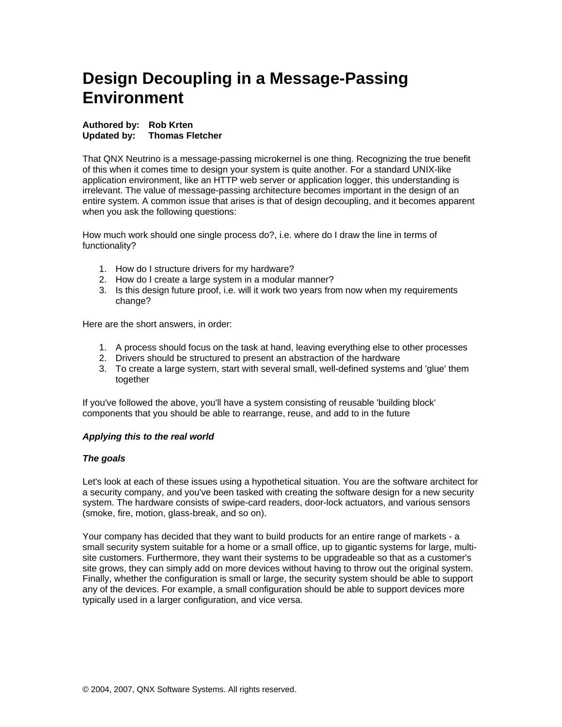# **Design Decoupling in a Message-Passing Environment**

## **Authored by: Rob Krten Updated by: Thomas Fletcher**

That QNX Neutrino is a message-passing microkernel is one thing. Recognizing the true benefit of this when it comes time to design your system is quite another. For a standard UNIX-like application environment, like an HTTP web server or application logger, this understanding is irrelevant. The value of message-passing architecture becomes important in the design of an entire system. A common issue that arises is that of design decoupling, and it becomes apparent when you ask the following questions:

How much work should one single process do?, i.e. where do I draw the line in terms of functionality?

- 1. How do I structure drivers for my hardware?
- 2. How do I create a large system in a modular manner?
- 3. Is this design future proof, i.e. will it work two years from now when my requirements change?

Here are the short answers, in order:

- 1. A process should focus on the task at hand, leaving everything else to other processes
- 2. Drivers should be structured to present an abstraction of the hardware
- 3. To create a large system, start with several small, well-defined systems and 'glue' them together

If you've followed the above, you'll have a system consisting of reusable 'building block' components that you should be able to rearrange, reuse, and add to in the future

# *Applying this to the real world*

#### *The goals*

Let's look at each of these issues using a hypothetical situation. You are the software architect for a security company, and you've been tasked with creating the software design for a new security system. The hardware consists of swipe-card readers, door-lock actuators, and various sensors (smoke, fire, motion, glass-break, and so on).

Your company has decided that they want to build products for an entire range of markets - a small security system suitable for a home or a small office, up to gigantic systems for large, multisite customers. Furthermore, they want their systems to be upgradeable so that as a customer's site grows, they can simply add on more devices without having to throw out the original system. Finally, whether the configuration is small or large, the security system should be able to support any of the devices. For example, a small configuration should be able to support devices more typically used in a larger configuration, and vice versa.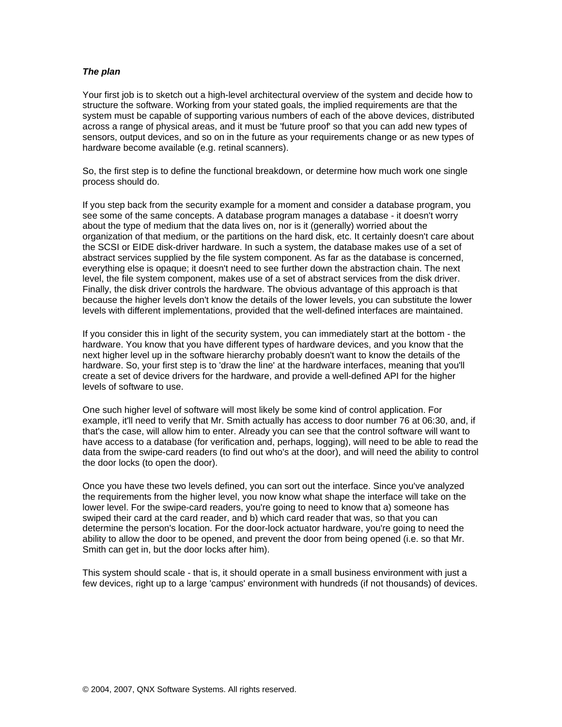### *The plan*

Your first job is to sketch out a high-level architectural overview of the system and decide how to structure the software. Working from your stated goals, the implied requirements are that the system must be capable of supporting various numbers of each of the above devices, distributed across a range of physical areas, and it must be 'future proof' so that you can add new types of sensors, output devices, and so on in the future as your requirements change or as new types of hardware become available (e.g. retinal scanners).

So, the first step is to define the functional breakdown, or determine how much work one single process should do.

If you step back from the security example for a moment and consider a database program, you see some of the same concepts. A database program manages a database - it doesn't worry about the type of medium that the data lives on, nor is it (generally) worried about the organization of that medium, or the partitions on the hard disk, etc. It certainly doesn't care about the SCSI or EIDE disk-driver hardware. In such a system, the database makes use of a set of abstract services supplied by the file system component. As far as the database is concerned, everything else is opaque; it doesn't need to see further down the abstraction chain. The next level, the file system component, makes use of a set of abstract services from the disk driver. Finally, the disk driver controls the hardware. The obvious advantage of this approach is that because the higher levels don't know the details of the lower levels, you can substitute the lower levels with different implementations, provided that the well-defined interfaces are maintained.

If you consider this in light of the security system, you can immediately start at the bottom - the hardware. You know that you have different types of hardware devices, and you know that the next higher level up in the software hierarchy probably doesn't want to know the details of the hardware. So, your first step is to 'draw the line' at the hardware interfaces, meaning that you'll create a set of device drivers for the hardware, and provide a well-defined API for the higher levels of software to use.

One such higher level of software will most likely be some kind of control application. For example, it'll need to verify that Mr. Smith actually has access to door number 76 at 06:30, and, if that's the case, will allow him to enter. Already you can see that the control software will want to have access to a database (for verification and, perhaps, logging), will need to be able to read the data from the swipe-card readers (to find out who's at the door), and will need the ability to control the door locks (to open the door).

Once you have these two levels defined, you can sort out the interface. Since you've analyzed the requirements from the higher level, you now know what shape the interface will take on the lower level. For the swipe-card readers, you're going to need to know that a) someone has swiped their card at the card reader, and b) which card reader that was, so that you can determine the person's location. For the door-lock actuator hardware, you're going to need the ability to allow the door to be opened, and prevent the door from being opened (i.e. so that Mr. Smith can get in, but the door locks after him).

This system should scale - that is, it should operate in a small business environment with just a few devices, right up to a large 'campus' environment with hundreds (if not thousands) of devices.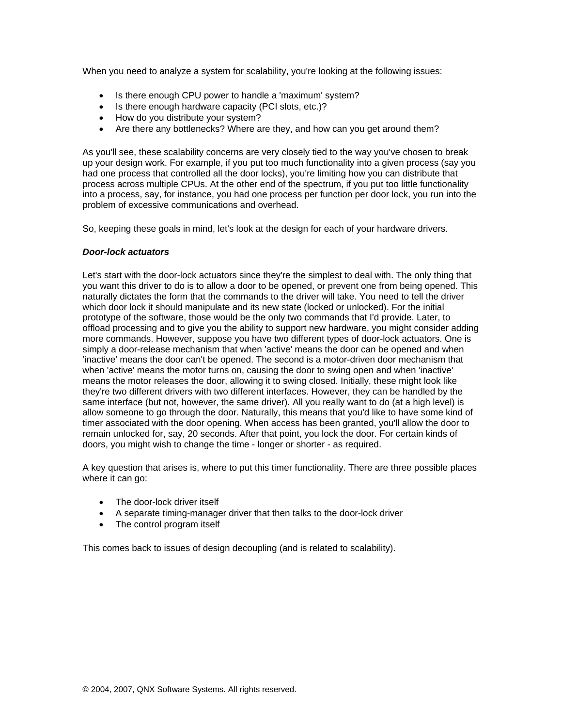When you need to analyze a system for scalability, you're looking at the following issues:

- Is there enough CPU power to handle a 'maximum' system?
- Is there enough hardware capacity (PCI slots, etc.)?
- How do you distribute your system?
- Are there any bottlenecks? Where are they, and how can you get around them?

As you'll see, these scalability concerns are very closely tied to the way you've chosen to break up your design work. For example, if you put too much functionality into a given process (say you had one process that controlled all the door locks), you're limiting how you can distribute that process across multiple CPUs. At the other end of the spectrum, if you put too little functionality into a process, say, for instance, you had one process per function per door lock, you run into the problem of excessive communications and overhead.

So, keeping these goals in mind, let's look at the design for each of your hardware drivers.

## *Door-lock actuators*

Let's start with the door-lock actuators since they're the simplest to deal with. The only thing that you want this driver to do is to allow a door to be opened, or prevent one from being opened. This naturally dictates the form that the commands to the driver will take. You need to tell the driver which door lock it should manipulate and its new state (locked or unlocked). For the initial prototype of the software, those would be the only two commands that I'd provide. Later, to offload processing and to give you the ability to support new hardware, you might consider adding more commands. However, suppose you have two different types of door-lock actuators. One is simply a door-release mechanism that when 'active' means the door can be opened and when 'inactive' means the door can't be opened. The second is a motor-driven door mechanism that when 'active' means the motor turns on, causing the door to swing open and when 'inactive' means the motor releases the door, allowing it to swing closed. Initially, these might look like they're two different drivers with two different interfaces. However, they can be handled by the same interface (but not, however, the same driver). All you really want to do (at a high level) is allow someone to go through the door. Naturally, this means that you'd like to have some kind of timer associated with the door opening. When access has been granted, you'll allow the door to remain unlocked for, say, 20 seconds. After that point, you lock the door. For certain kinds of doors, you might wish to change the time - longer or shorter - as required.

A key question that arises is, where to put this timer functionality. There are three possible places where it can go:

- The door-lock driver itself
- A separate timing-manager driver that then talks to the door-lock driver
- The control program itself

This comes back to issues of design decoupling (and is related to scalability).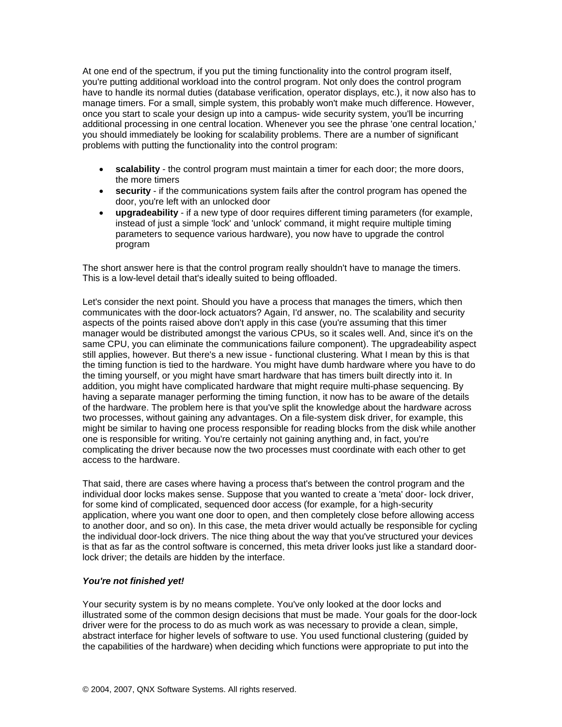At one end of the spectrum, if you put the timing functionality into the control program itself, you're putting additional workload into the control program. Not only does the control program have to handle its normal duties (database verification, operator displays, etc.), it now also has to manage timers. For a small, simple system, this probably won't make much difference. However, once you start to scale your design up into a campus- wide security system, you'll be incurring additional processing in one central location. Whenever you see the phrase 'one central location,' you should immediately be looking for scalability problems. There are a number of significant problems with putting the functionality into the control program:

- **scalability** the control program must maintain a timer for each door; the more doors, the more timers
- **security** if the communications system fails after the control program has opened the door, you're left with an unlocked door
- **upgradeability** if a new type of door requires different timing parameters (for example, instead of just a simple 'lock' and 'unlock' command, it might require multiple timing parameters to sequence various hardware), you now have to upgrade the control program

The short answer here is that the control program really shouldn't have to manage the timers. This is a low-level detail that's ideally suited to being offloaded.

Let's consider the next point. Should you have a process that manages the timers, which then communicates with the door-lock actuators? Again, I'd answer, no. The scalability and security aspects of the points raised above don't apply in this case (you're assuming that this timer manager would be distributed amongst the various CPUs, so it scales well. And, since it's on the same CPU, you can eliminate the communications failure component). The upgradeability aspect still applies, however. But there's a new issue - functional clustering. What I mean by this is that the timing function is tied to the hardware. You might have dumb hardware where you have to do the timing yourself, or you might have smart hardware that has timers built directly into it. In addition, you might have complicated hardware that might require multi-phase sequencing. By having a separate manager performing the timing function, it now has to be aware of the details of the hardware. The problem here is that you've split the knowledge about the hardware across two processes, without gaining any advantages. On a file-system disk driver, for example, this might be similar to having one process responsible for reading blocks from the disk while another one is responsible for writing. You're certainly not gaining anything and, in fact, you're complicating the driver because now the two processes must coordinate with each other to get access to the hardware.

That said, there are cases where having a process that's between the control program and the individual door locks makes sense. Suppose that you wanted to create a 'meta' door- lock driver, for some kind of complicated, sequenced door access (for example, for a high-security application, where you want one door to open, and then completely close before allowing access to another door, and so on). In this case, the meta driver would actually be responsible for cycling the individual door-lock drivers. The nice thing about the way that you've structured your devices is that as far as the control software is concerned, this meta driver looks just like a standard doorlock driver; the details are hidden by the interface.

#### *You're not finished yet!*

Your security system is by no means complete. You've only looked at the door locks and illustrated some of the common design decisions that must be made. Your goals for the door-lock driver were for the process to do as much work as was necessary to provide a clean, simple, abstract interface for higher levels of software to use. You used functional clustering (guided by the capabilities of the hardware) when deciding which functions were appropriate to put into the